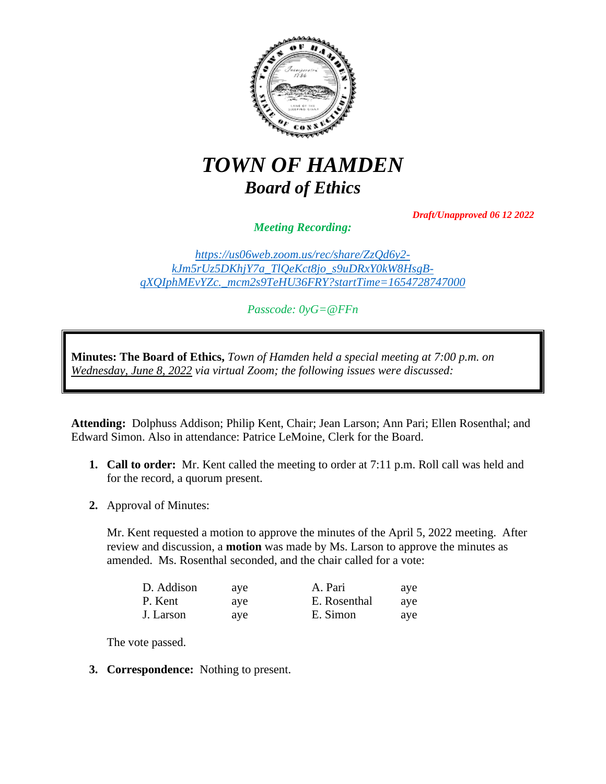

## *TOWN OF HAMDEN Board of Ethics*

*Draft/Unapproved 06 12 2022*

*Meeting Recording:*

*[https://us06web.zoom.us/rec/share/ZzQd6y2](https://us06web.zoom.us/rec/share/ZzQd6y2-kJm5rUz5DKhjY7a_TlQeKct8jo_s9uDRxY0kW8HsgB-qXQIphMEvYZc._mcm2s9TeHU36FRY?startTime=1654728747000) [kJm5rUz5DKhjY7a\\_TlQeKct8jo\\_s9uDRxY0kW8HsgB](https://us06web.zoom.us/rec/share/ZzQd6y2-kJm5rUz5DKhjY7a_TlQeKct8jo_s9uDRxY0kW8HsgB-qXQIphMEvYZc._mcm2s9TeHU36FRY?startTime=1654728747000)[qXQIphMEvYZc.\\_mcm2s9TeHU36FRY?startTime=1654728747000](https://us06web.zoom.us/rec/share/ZzQd6y2-kJm5rUz5DKhjY7a_TlQeKct8jo_s9uDRxY0kW8HsgB-qXQIphMEvYZc._mcm2s9TeHU36FRY?startTime=1654728747000)*

*Passcode: 0yG=@FFn*

**Minutes: The Board of Ethics,** *Town of Hamden held a special meeting at 7:00 p.m. on Wednesday, June 8, 2022 via virtual Zoom; the following issues were discussed:*

**Attending:** Dolphuss Addison; Philip Kent, Chair; Jean Larson; Ann Pari; Ellen Rosenthal; and Edward Simon. Also in attendance: Patrice LeMoine, Clerk for the Board.

- **1. Call to order:** Mr. Kent called the meeting to order at 7:11 p.m. Roll call was held and for the record, a quorum present.
- **2.** Approval of Minutes:

Mr. Kent requested a motion to approve the minutes of the April 5, 2022 meeting. After review and discussion, a **motion** was made by Ms. Larson to approve the minutes as amended. Ms. Rosenthal seconded, and the chair called for a vote:

| D. Addison | ave | A. Pari      | ave |
|------------|-----|--------------|-----|
| P. Kent    | ave | E. Rosenthal | ave |
| J. Larson  | ave | E. Simon     | ave |

The vote passed.

**3. Correspondence:** Nothing to present.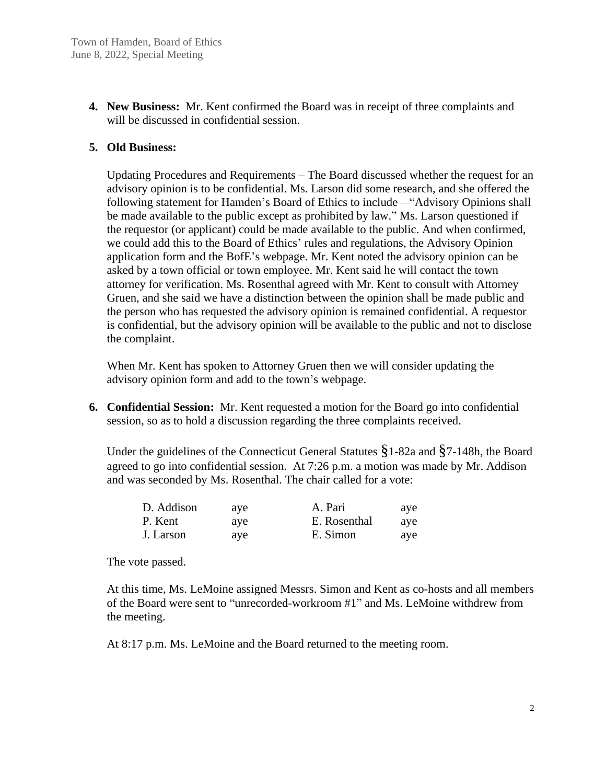**4. New Business:** Mr. Kent confirmed the Board was in receipt of three complaints and will be discussed in confidential session.

## **5. Old Business:**

Updating Procedures and Requirements – The Board discussed whether the request for an advisory opinion is to be confidential. Ms. Larson did some research, and she offered the following statement for Hamden's Board of Ethics to include—"Advisory Opinions shall be made available to the public except as prohibited by law." Ms. Larson questioned if the requestor (or applicant) could be made available to the public. And when confirmed, we could add this to the Board of Ethics' rules and regulations, the Advisory Opinion application form and the BofE's webpage. Mr. Kent noted the advisory opinion can be asked by a town official or town employee. Mr. Kent said he will contact the town attorney for verification. Ms. Rosenthal agreed with Mr. Kent to consult with Attorney Gruen, and she said we have a distinction between the opinion shall be made public and the person who has requested the advisory opinion is remained confidential. A requestor is confidential, but the advisory opinion will be available to the public and not to disclose the complaint.

When Mr. Kent has spoken to Attorney Gruen then we will consider updating the advisory opinion form and add to the town's webpage.

**6. Confidential Session:** Mr. Kent requested a motion for the Board go into confidential session, so as to hold a discussion regarding the three complaints received.

Under the guidelines of the Connecticut General Statutes §1-82a and §7-148h, the Board agreed to go into confidential session. At 7:26 p.m. a motion was made by Mr. Addison and was seconded by Ms. Rosenthal. The chair called for a vote:

| D. Addison | ave | A. Pari      | ave |
|------------|-----|--------------|-----|
| P. Kent    | ave | E. Rosenthal | ave |
| J. Larson  | ave | E. Simon     | aye |

The vote passed.

At this time, Ms. LeMoine assigned Messrs. Simon and Kent as co-hosts and all members of the Board were sent to "unrecorded-workroom #1" and Ms. LeMoine withdrew from the meeting.

At 8:17 p.m. Ms. LeMoine and the Board returned to the meeting room.